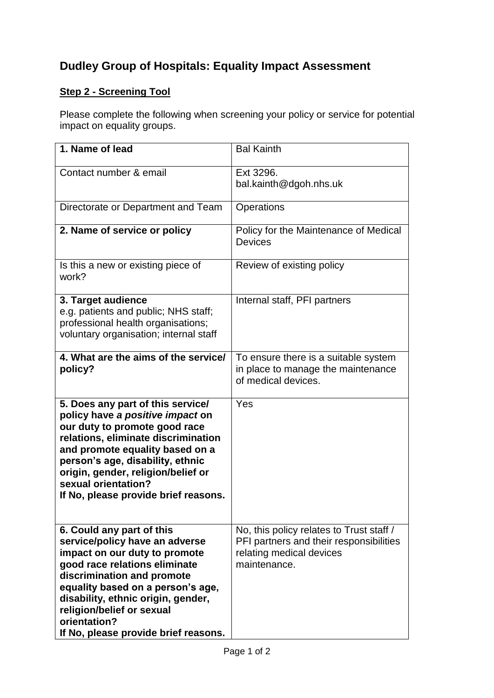## **Dudley Group of Hospitals: Equality Impact Assessment**

## **Step 2 - Screening Tool**

Please complete the following when screening your policy or service for potential impact on equality groups.

| 1. Name of lead                                                                                                                                                                                                                                                                                                             | <b>Bal Kainth</b>                                                                                                               |
|-----------------------------------------------------------------------------------------------------------------------------------------------------------------------------------------------------------------------------------------------------------------------------------------------------------------------------|---------------------------------------------------------------------------------------------------------------------------------|
| Contact number & email                                                                                                                                                                                                                                                                                                      | Ext 3296.<br>bal.kainth@dgoh.nhs.uk                                                                                             |
| Directorate or Department and Team                                                                                                                                                                                                                                                                                          | Operations                                                                                                                      |
| 2. Name of service or policy                                                                                                                                                                                                                                                                                                | Policy for the Maintenance of Medical<br><b>Devices</b>                                                                         |
| Is this a new or existing piece of<br>work?                                                                                                                                                                                                                                                                                 | Review of existing policy                                                                                                       |
| 3. Target audience<br>e.g. patients and public; NHS staff;<br>professional health organisations;<br>voluntary organisation; internal staff                                                                                                                                                                                  | Internal staff, PFI partners                                                                                                    |
| 4. What are the aims of the service/<br>policy?                                                                                                                                                                                                                                                                             | To ensure there is a suitable system<br>in place to manage the maintenance<br>of medical devices.                               |
| 5. Does any part of this service/<br>policy have a positive impact on<br>our duty to promote good race<br>relations, eliminate discrimination<br>and promote equality based on a<br>person's age, disability, ethnic<br>origin, gender, religion/belief or<br>sexual orientation?<br>If No, please provide brief reasons.   | Yes                                                                                                                             |
| 6. Could any part of this<br>service/policy have an adverse<br>impact on our duty to promote<br>good race relations eliminate<br>discrimination and promote<br>equality based on a person's age,<br>disability, ethnic origin, gender,<br>religion/belief or sexual<br>orientation?<br>If No, please provide brief reasons. | No, this policy relates to Trust staff /<br>PFI partners and their responsibilities<br>relating medical devices<br>maintenance. |